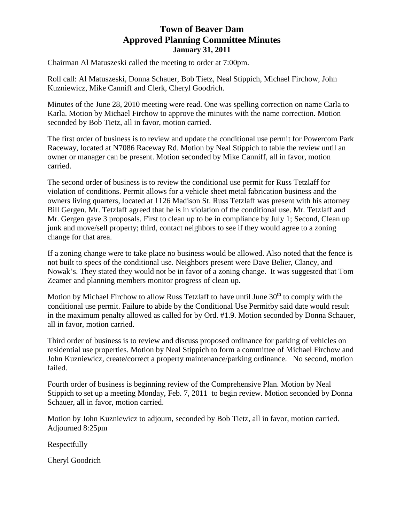## **Town of Beaver Dam Approved Planning Committee Minutes January 31, 2011**

Chairman Al Matuszeski called the meeting to order at 7:00pm.

Roll call: Al Matuszeski, Donna Schauer, Bob Tietz, Neal Stippich, Michael Firchow, John Kuzniewicz, Mike Canniff and Clerk, Cheryl Goodrich.

Minutes of the June 28, 2010 meeting were read. One was spelling correction on name Carla to Karla. Motion by Michael Firchow to approve the minutes with the name correction. Motion seconded by Bob Tietz, all in favor, motion carried.

The first order of business is to review and update the conditional use permit for Powercom Park Raceway, located at N7086 Raceway Rd. Motion by Neal Stippich to table the review until an owner or manager can be present. Motion seconded by Mike Canniff, all in favor, motion carried.

The second order of business is to review the conditional use permit for Russ Tetzlaff for violation of conditions. Permit allows for a vehicle sheet metal fabrication business and the owners living quarters, located at 1126 Madison St. Russ Tetzlaff was present with his attorney Bill Gergen. Mr. Tetzlaff agreed that he is in violation of the conditional use. Mr. Tetzlaff and Mr. Gergen gave 3 proposals. First to clean up to be in compliance by July 1; Second, Clean up junk and move/sell property; third, contact neighbors to see if they would agree to a zoning change for that area.

If a zoning change were to take place no business would be allowed. Also noted that the fence is not built to specs of the conditional use. Neighbors present were Dave Belier, Clancy, and Nowak's. They stated they would not be in favor of a zoning change. It was suggested that Tom Zeamer and planning members monitor progress of clean up.

Motion by Michael Firchow to allow Russ Tetzlaff to have until June  $30<sup>th</sup>$  to comply with the conditional use permit. Failure to abide by the Conditional Use Permitby said date would result in the maximum penalty allowed as called for by Ord. #1.9. Motion seconded by Donna Schauer, all in favor, motion carried.

Third order of business is to review and discuss proposed ordinance for parking of vehicles on residential use properties. Motion by Neal Stippich to form a committee of Michael Firchow and John Kuzniewicz, create/correct a property maintenance/parking ordinance. No second, motion failed.

Fourth order of business is beginning review of the Comprehensive Plan. Motion by Neal Stippich to set up a meeting Monday, Feb. 7, 2011 to begin review. Motion seconded by Donna Schauer, all in favor, motion carried.

Motion by John Kuzniewicz to adjourn, seconded by Bob Tietz, all in favor, motion carried. Adjourned 8:25pm

Respectfully

Cheryl Goodrich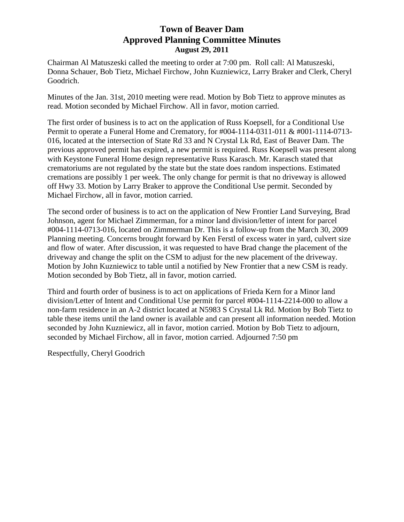## **Town of Beaver Dam Approved Planning Committee Minutes August 29, 2011**

Chairman Al Matuszeski called the meeting to order at 7:00 pm. Roll call: Al Matuszeski, Donna Schauer, Bob Tietz, Michael Firchow, John Kuzniewicz, Larry Braker and Clerk, Cheryl Goodrich.

Minutes of the Jan. 31st, 2010 meeting were read. Motion by Bob Tietz to approve minutes as read. Motion seconded by Michael Firchow. All in favor, motion carried.

The first order of business is to act on the application of Russ Koepsell, for a Conditional Use Permit to operate a Funeral Home and Crematory, for #004-1114-0311-011 & #001-1114-0713- 016, located at the intersection of State Rd 33 and N Crystal Lk Rd, East of Beaver Dam. The previous approved permit has expired, a new permit is required. Russ Koepsell was present along with Keystone Funeral Home design representative Russ Karasch. Mr. Karasch stated that crematoriums are not regulated by the state but the state does random inspections. Estimated cremations are possibly 1 per week. The only change for permit is that no driveway is allowed off Hwy 33. Motion by Larry Braker to approve the Conditional Use permit. Seconded by Michael Firchow, all in favor, motion carried.

The second order of business is to act on the application of New Frontier Land Surveying, Brad Johnson, agent for Michael Zimmerman, for a minor land division/letter of intent for parcel #004-1114-0713-016, located on Zimmerman Dr. This is a follow-up from the March 30, 2009 Planning meeting. Concerns brought forward by Ken Ferstl of excess water in yard, culvert size and flow of water. After discussion, it was requested to have Brad change the placement of the driveway and change the split on the CSM to adjust for the new placement of the driveway. Motion by John Kuzniewicz to table until a notified by New Frontier that a new CSM is ready. Motion seconded by Bob Tietz, all in favor, motion carried.

Third and fourth order of business is to act on applications of Frieda Kern for a Minor land division/Letter of Intent and Conditional Use permit for parcel #004-1114-2214-000 to allow a non-farm residence in an A-2 district located at N5983 S Crystal Lk Rd. Motion by Bob Tietz to table these items until the land owner is available and can present all information needed. Motion seconded by John Kuzniewicz, all in favor, motion carried. Motion by Bob Tietz to adjourn, seconded by Michael Firchow, all in favor, motion carried. Adjourned 7:50 pm

Respectfully, Cheryl Goodrich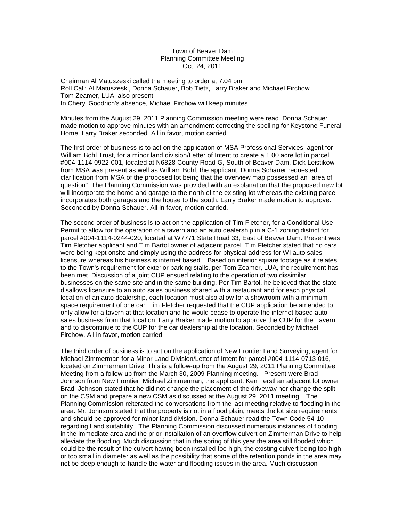Town of Beaver Dam Planning Committee Meeting Oct. 24, 2011

Chairman Al Matuszeski called the meeting to order at 7:04 pm Roll Call: Al Matuszeski, Donna Schauer, Bob Tietz, Larry Braker and Michael Firchow Tom Zeamer, LUA, also present In Cheryl Goodrich's absence, Michael Firchow will keep minutes

Minutes from the August 29, 2011 Planning Commission meeting were read. Donna Schauer made motion to approve minutes with an amendment correcting the spelling for Keystone Funeral Home. Larry Braker seconded. All in favor, motion carried.

The first order of business is to act on the application of MSA Professional Services, agent for William Bohl Trust, for a minor land division/Letter of Intent to create a 1.00 acre lot in parcel #004-1114-0922-001, located at N6828 County Road G, South of Beaver Dam. Dick Leistikow from MSA was present as well as William Bohl, the applicant. Donna Schauer requested clarification from MSA of the proposed lot being that the overview map possessed an "area of question". The Planning Commission was provided with an explanation that the proposed new lot will incorporate the home and garage to the north of the existing lot whereas the existing parcel incorporates both garages and the house to the south. Larry Braker made motion to approve. Seconded by Donna Schauer. All in favor, motion carried.

The second order of business is to act on the application of Tim Fletcher, for a Conditional Use Permit to allow for the operation of a tavern and an auto dealership in a C-1 zoning district for parcel #004-1114-0244-020, located at W7771 State Road 33, East of Beaver Dam. Present was Tim Fletcher applicant and Tim Bartol owner of adjacent parcel. Tim Fletcher stated that no cars were being kept onsite and simply using the address for physical address for WI auto sales licensure whereas his business is internet based. Based on interior square footage as it relates to the Town's requirement for exterior parking stalls, per Tom Zeamer, LUA, the requirement has been met. Discussion of a joint CUP ensued relating to the operation of two dissimilar businesses on the same site and in the same building. Per Tim Bartol, he believed that the state disallows licensure to an auto sales business shared with a restaurant and for each physical location of an auto dealership, each location must also allow for a showroom with a minimum space requirement of one car. Tim Fletcher requested that the CUP application be amended to only allow for a tavern at that location and he would cease to operate the internet based auto sales business from that location. Larry Braker made motion to approve the CUP for the Tavern and to discontinue to the CUP for the car dealership at the location. Seconded by Michael Firchow, All in favor, motion carried.

The third order of business is to act on the application of New Frontier Land Surveying, agent for Michael Zimmerman for a Minor Land Division/Letter of Intent for parcel #004-1114-0713-016, located on Zimmerman Drive. This is a follow-up from the August 29, 2011 Planning Committee Meeting from a follow-up from the March 30, 2009 Planning meeting. Present were Brad Johnson from New Frontier, Michael Zimmerman, the applicant, Ken Ferstl an adjacent lot owner. Brad Johnson stated that he did not change the placement of the driveway nor change the split on the CSM and prepare a new CSM as discussed at the August 29, 2011 meeting. The Planning Commission reiterated the conversations from the last meeting relative to flooding in the area. Mr. Johnson stated that the property is not in a flood plain, meets the lot size requirements and should be approved for minor land division. Donna Schauer read the Town Code 54-10 regarding Land suitability. The Planning Commission discussed numerous instances of flooding in the immediate area and the prior installation of an overflow culvert on Zimmerman Drive to help alleviate the flooding. Much discussion that in the spring of this year the area still flooded which could be the result of the culvert having been installed too high, the existing culvert being too high or too small in diameter as well as the possibility that some of the retention ponds in the area may not be deep enough to handle the water and flooding issues in the area. Much discussion